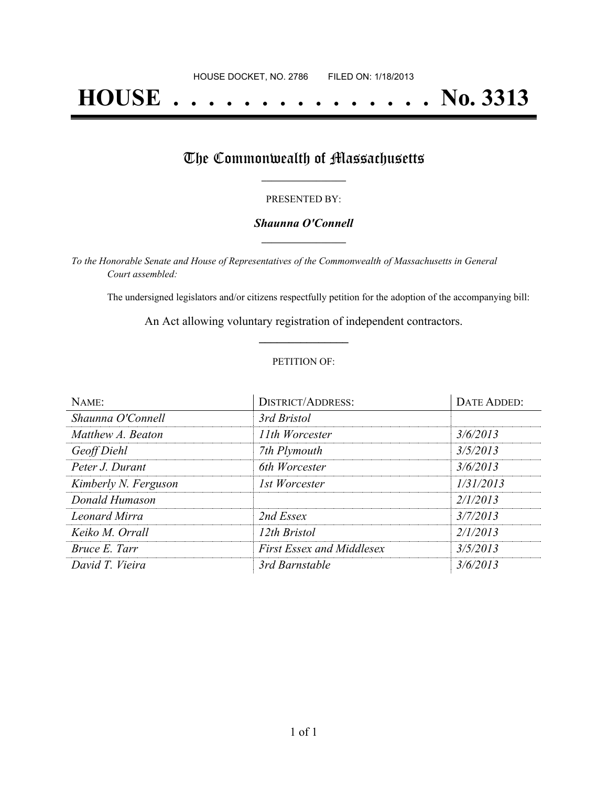# **HOUSE . . . . . . . . . . . . . . . No. 3313**

## The Commonwealth of Massachusetts

#### PRESENTED BY:

#### *Shaunna O'Connell* **\_\_\_\_\_\_\_\_\_\_\_\_\_\_\_\_\_**

*To the Honorable Senate and House of Representatives of the Commonwealth of Massachusetts in General Court assembled:*

The undersigned legislators and/or citizens respectfully petition for the adoption of the accompanying bill:

An Act allowing voluntary registration of independent contractors. **\_\_\_\_\_\_\_\_\_\_\_\_\_\_\_**

#### PETITION OF:

| NAME:                | <b>DISTRICT/ADDRESS:</b>         | DATE ADDED: |
|----------------------|----------------------------------|-------------|
| Shaunna O'Connell    | 3rd Bristol                      |             |
| Matthew A. Beaton    | 11th Worcester                   | 3/6/2013    |
| Geoff Diehl          | 7th Plymouth                     | 3/5/2013    |
| Peter J. Durant      | 6th Worcester                    | 3/6/2013    |
| Kimberly N. Ferguson | 1st Worcester                    | 1/31/2013   |
| Donald Humason       |                                  | 2/1/2013    |
| Leonard Mirra        | 2nd Essex                        | 3/7/2013    |
| Keiko M. Orrall      | 12th Bristol                     | 2/1/2013    |
| Bruce E. Tarr        | <b>First Essex and Middlesex</b> | 3/5/2013    |
| David T. Vieira      | 3rd Barnstable                   | 3/6/2013    |